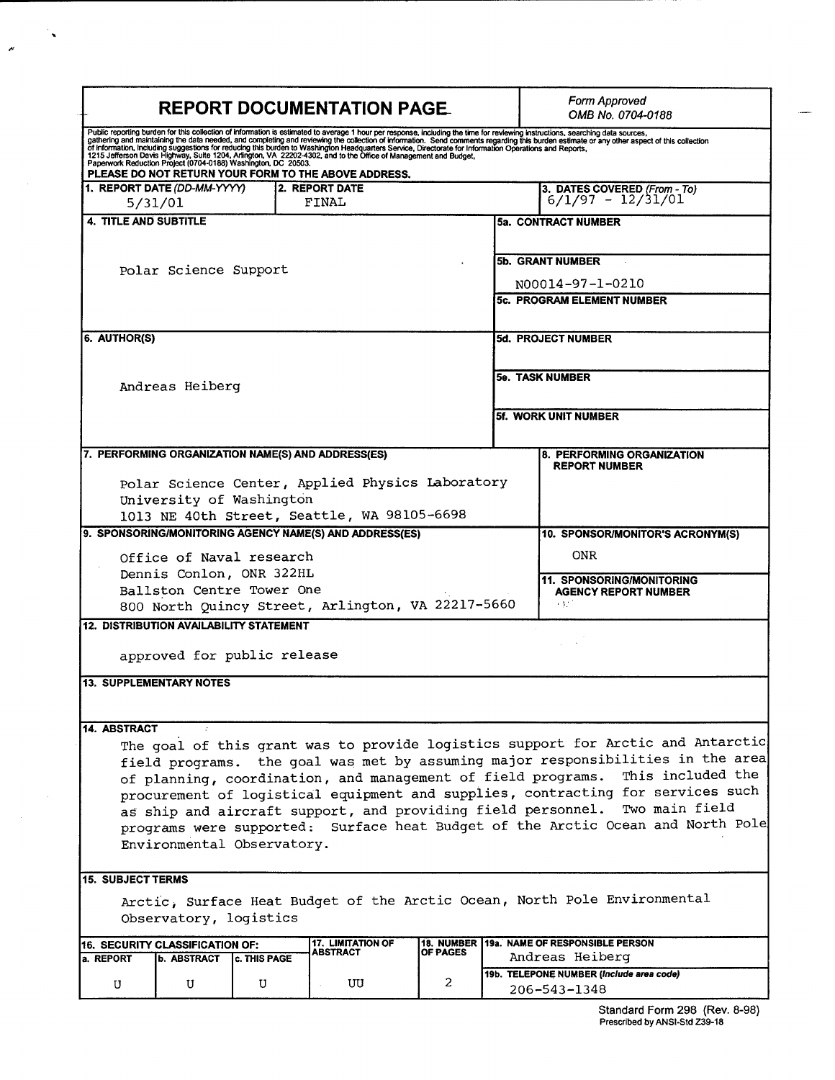| <b>REPORT DOCUMENTATION PAGE.</b>                                                                                                                                                                                                                                                                                                                                                                                                                                                                                                                                                          |                                                                          |   |    |                |                                                               | Form Approved<br>OMB No. 0704-0188                                      |  |
|--------------------------------------------------------------------------------------------------------------------------------------------------------------------------------------------------------------------------------------------------------------------------------------------------------------------------------------------------------------------------------------------------------------------------------------------------------------------------------------------------------------------------------------------------------------------------------------------|--------------------------------------------------------------------------|---|----|----------------|---------------------------------------------------------------|-------------------------------------------------------------------------|--|
| Public reporting burden for this collection of information is estimated to average 1 hour per response, including the time for reviewing instructions, searching data sources, gathering and maintaining the data needed, and<br>PLEASE DO NOT RETURN YOUR FORM TO THE ABOVE ADDRESS.                                                                                                                                                                                                                                                                                                      |                                                                          |   |    |                |                                                               |                                                                         |  |
|                                                                                                                                                                                                                                                                                                                                                                                                                                                                                                                                                                                            | <b>2. REPORT DATE</b><br>1. REPORT DATE (DD-MM-YYYY)<br>FINAL<br>5/31/01 |   |    |                |                                                               | 3. DATES COVERED (From - To)<br>$6/1/97 - 12/31/01$                     |  |
|                                                                                                                                                                                                                                                                                                                                                                                                                                                                                                                                                                                            | <b>4. TITLE AND SUBTITLE</b>                                             |   |    |                |                                                               | <b>5a. CONTRACT NUMBER</b>                                              |  |
| Polar Science Support                                                                                                                                                                                                                                                                                                                                                                                                                                                                                                                                                                      |                                                                          |   |    |                | <b>5b. GRANT NUMBER</b>                                       |                                                                         |  |
|                                                                                                                                                                                                                                                                                                                                                                                                                                                                                                                                                                                            |                                                                          |   |    |                | N00014-97-1-0210<br>5c. PROGRAM ELEMENT NUMBER                |                                                                         |  |
| 6. AUTHOR(S)                                                                                                                                                                                                                                                                                                                                                                                                                                                                                                                                                                               |                                                                          |   |    |                | 5d. PROJECT NUMBER                                            |                                                                         |  |
| Andreas Heiberg                                                                                                                                                                                                                                                                                                                                                                                                                                                                                                                                                                            |                                                                          |   |    |                | <b>5e. TASK NUMBER</b>                                        |                                                                         |  |
|                                                                                                                                                                                                                                                                                                                                                                                                                                                                                                                                                                                            |                                                                          |   |    |                | 5f. WORK UNIT NUMBER                                          |                                                                         |  |
| 7. PERFORMING ORGANIZATION NAME(S) AND ADDRESS(ES)                                                                                                                                                                                                                                                                                                                                                                                                                                                                                                                                         |                                                                          |   |    |                |                                                               | 8. PERFORMING ORGANIZATION<br><b>REPORT NUMBER</b>                      |  |
| Polar Science Center, Applied Physics Laboratory<br>University of Washington<br>1013 NE 40th Street, Seattle, WA 98105-6698                                                                                                                                                                                                                                                                                                                                                                                                                                                                |                                                                          |   |    |                |                                                               |                                                                         |  |
| 9. SPONSORING/MONITORING AGENCY NAME(S) AND ADDRESS(ES)<br>10. SPONSOR/MONITOR'S ACRONYM(S)                                                                                                                                                                                                                                                                                                                                                                                                                                                                                                |                                                                          |   |    |                |                                                               |                                                                         |  |
| Office of Naval research<br>Dennis Conlon, ONR 322HL<br>Ballston Centre Tower One                                                                                                                                                                                                                                                                                                                                                                                                                                                                                                          |                                                                          |   |    |                |                                                               | ONR.<br><b>11. SPONSORING/MONITORING</b><br><b>AGENCY REPORT NUMBER</b> |  |
| 800 North Quincy Street, Arlington, VA 22217-5660                                                                                                                                                                                                                                                                                                                                                                                                                                                                                                                                          |                                                                          |   |    |                |                                                               | 3000                                                                    |  |
| <b>12. DISTRIBUTION AVAILABILITY STATEMENT</b>                                                                                                                                                                                                                                                                                                                                                                                                                                                                                                                                             |                                                                          |   |    |                |                                                               |                                                                         |  |
| approved for public release                                                                                                                                                                                                                                                                                                                                                                                                                                                                                                                                                                |                                                                          |   |    |                |                                                               |                                                                         |  |
| <b>13. SUPPLEMENTARY NOTES</b>                                                                                                                                                                                                                                                                                                                                                                                                                                                                                                                                                             |                                                                          |   |    |                |                                                               |                                                                         |  |
| 14. ABSTRACT<br>The goal of this grant was to provide logistics support for Arctic and Antarctic<br>field programs. the goal was met by assuming major responsibilities in the area<br>This included the<br>of planning, coordination, and management of field programs.<br>procurement of logistical equipment and supplies, contracting for services such<br>Two main field<br>as ship and aircraft support, and providing field personnel.<br>programs were supported: Surface heat Budget of the Arctic Ocean and North Pole<br>Environmental Observatory.<br><b>15. SUBJECT TERMS</b> |                                                                          |   |    |                |                                                               |                                                                         |  |
| Arctic, Surface Heat Budget of the Arctic Ocean, North Pole Environmental<br>Observatory, logistics                                                                                                                                                                                                                                                                                                                                                                                                                                                                                        |                                                                          |   |    |                |                                                               |                                                                         |  |
| <b>17. LIMITATION OF</b><br>16. SECURITY CLASSIFICATION OF:<br>OF PAGES<br>ABSTRACT<br>a. REPORT<br><b>b. ABSTRACT</b><br><b>C. THIS PAGE</b>                                                                                                                                                                                                                                                                                                                                                                                                                                              |                                                                          |   |    |                | 18. NUMBER 19a. NAME OF RESPONSIBLE PERSON<br>Andreas Heiberg |                                                                         |  |
| U                                                                                                                                                                                                                                                                                                                                                                                                                                                                                                                                                                                          | U                                                                        | U | UU | $\overline{2}$ |                                                               | 19b. TELEPONE NUMBER (Include area code)<br>206-543-1348                |  |

۰,

 $\epsilon$ 

**Standard Form 298 (Rev. 8-98)** Prescribed by ANSI-Std Z39-18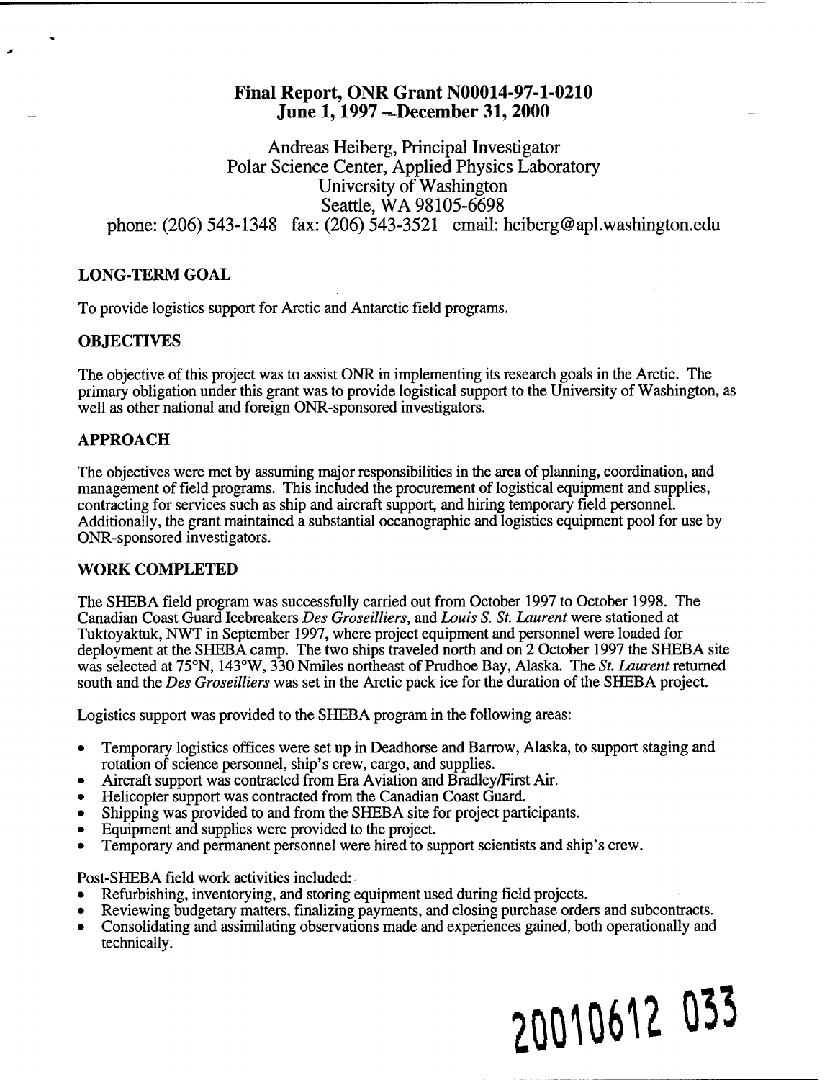# Final Report, ONR Grant N00014-97-1-0210 June 1, 1997 - December 31, 2000

Andreas Heiberg, Principal Investigator Polar Science Center, Applied Physics Laboratory University of Washington Seattle, WA 98105-6698 phone: (206) 543-1348 fax: (206) 543-3521 email: heiberg@apl.washington.edu

## **LONG-TERM GOAL**

To provide logistics support for Arctic and Antarctic field programs.

#### **OBJECTIVES**

The objective of this project was to assist ONR in implementing its research goals in the Arctic. The primary obligation under this grant was to provide logistical support to the University of Washington, as well as other national and foreign ONR-sponsored investigators.

## **APPROACH**

The objectives were met by assuming major responsibilities in the area of planning, coordination, and management of field programs. This included the procurement of logistical equipment and supplies, contracting for services such as ship and aircraft support, and hiring temporary field personnel. Additionally, the grant maintained a substantial oceanographic and logistics equipment pool for use by ONR-sponsored investigators.

#### **WORK COMPLETED**

The SHEBA field program was successfully carried out from October 1997 to October 1998. The Canadian Coast Guard Icebreakers *Des Groseilliers,* and *Louis S. St. Laurent* were stationed at Tuktoyaktuk, NWT in September 1997, where project equipment and personnel were loaded for deployment at the SHEBA camp. The two ships traveled north and on 2 October 1997 the SHEBA site was selected at 75°N, 143°W, 330 Nmiles northeast of Prudhoe Bay, Alaska. The *St. Laurent* returned south and the *Des Groseilliers* was set in the Arctic pack ice for the duration of the SHEBA project.

Logistics support was provided to the SHEBA program in the following areas:

- Temporary logistics offices were set up in Deadhorse and Barrow, Alaska, to support staging and rotation of science personnel, ship's crew, cargo, and supplies.
- Aircraft support was contracted from Era Aviation and Bradley/First Air.
- Helicopter support was contracted from the Canadian Coast Guard.
- Shipping was provided to and from the SHEBA site for project participants.
- Equipment and supplies were provided to the project.
- Temporary and permanent personnel were hired to support scientists and ship's crew.

Post-SHEBA field work activities included:

- Refurbishing, inventorying, and storing equipment used during field projects.
- Reviewing budgetary matters, finalizing payments, and closing purchase orders and subcontracts. **•**
- Consolidating and assimilating observations made and experiences gained, both operationally and technically.

# **20M0M 0^3**